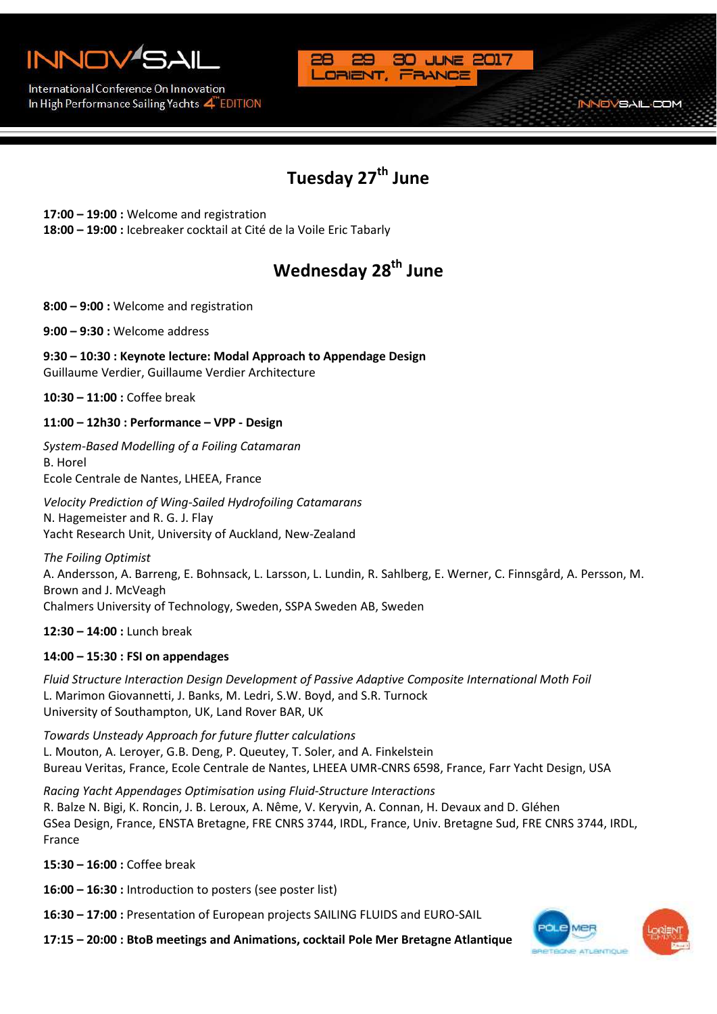

International Conference On Innovation In High Performance Sailing Yachts 4 EDITION



### **Tuesday 27th June**

**17:00 – 19:00 :** Welcome and registration

**18:00 – 19:00 :** Icebreaker cocktail at Cité de la Voile Eric Tabarly

# **Wednesday 28th June**

**8:00 – 9:00 :** Welcome and registration

**9:00 – 9:30 :** Welcome address

**9:30 – 10:30 : Keynote lecture: Modal Approach to Appendage Design**  Guillaume Verdier, Guillaume Verdier Architecture

**10:30 – 11:00 :** Coffee break

#### **11:00 – 12h30 : Performance – VPP - Design**

*System-Based Modelling of a Foiling Catamaran* B. Horel Ecole Centrale de Nantes, LHEEA, France

*Velocity Prediction of Wing-Sailed Hydrofoiling Catamarans* N. Hagemeister and R. G. J. Flay Yacht Research Unit, University of Auckland, New-Zealand

*The Foiling Optimist* A. Andersson, A. Barreng, E. Bohnsack, L. Larsson, L. Lundin, R. Sahlberg, E. Werner, C. Finnsgård, A. Persson, M. Brown and J. McVeagh Chalmers University of Technology, Sweden, SSPA Sweden AB, Sweden

**12:30 – 14:00 :** Lunch break

#### **14:00 – 15:30 : FSI on appendages**

*Fluid Structure Interaction Design Development of Passive Adaptive Composite International Moth Foil* L. Marimon Giovannetti, J. Banks, M. Ledri, S.W. Boyd, and S.R. Turnock University of Southampton, UK, Land Rover BAR, UK

*Towards Unsteady Approach for future flutter calculations* L. Mouton, A. Leroyer, G.B. Deng, P. Queutey, T. Soler, and A. Finkelstein Bureau Veritas, France, Ecole Centrale de Nantes, LHEEA UMR-CNRS 6598, France, Farr Yacht Design, USA

*Racing Yacht Appendages Optimisation using Fluid-Structure Interactions* R. Balze N. Bigi, K. Roncin, J. B. Leroux, A. Nême, V. Keryvin, A. Connan, H. Devaux and D. Gléhen GSea Design, France, ENSTA Bretagne, FRE CNRS 3744, IRDL, France, Univ. Bretagne Sud, FRE CNRS 3744, IRDL, France

**15:30 – 16:00 :** Coffee break

**16:00 – 16:30 :** Introduction to posters (see poster list)

**16:30 – 17:00 :** Presentation of European projects SAILING FLUIDS and EURO-SAIL

**17:15 – 20:00 : BtoB meetings and Animations, cocktail Pole Mer Bretagne Atlantique**



**NOVSAIL-COM**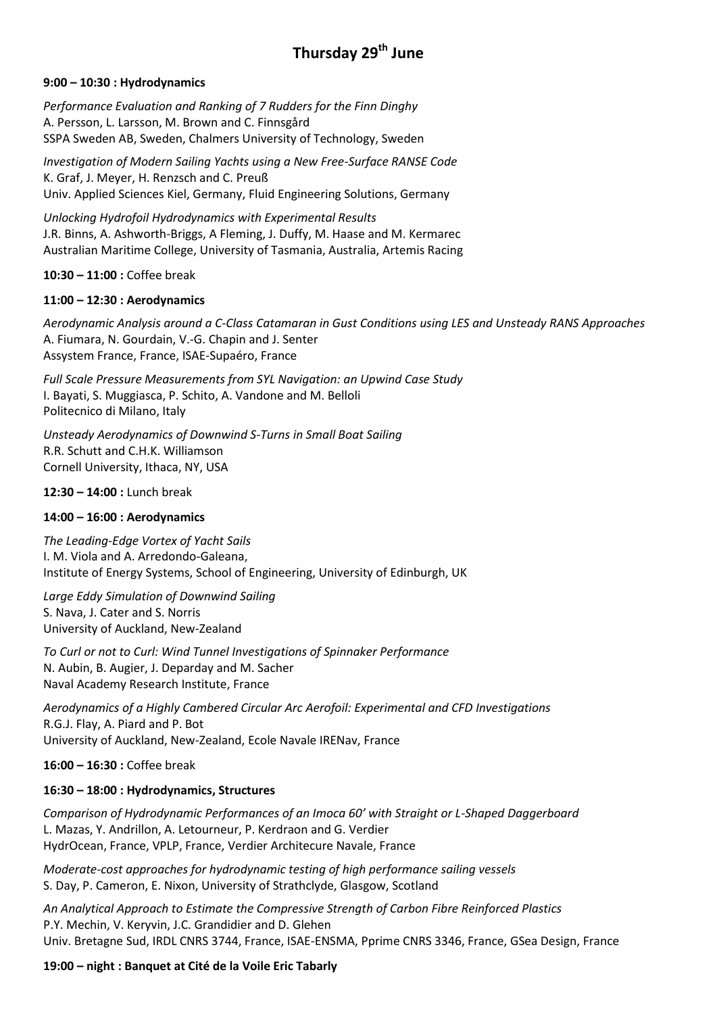## **Thursday 29th June**

#### **9:00 – 10:30 : Hydrodynamics**

*Performance Evaluation and Ranking of 7 Rudders for the Finn Dinghy* A. Persson, L. Larsson, M. Brown and C. Finnsgård SSPA Sweden AB, Sweden, Chalmers University of Technology, Sweden

*Investigation of Modern Sailing Yachts using a New Free-Surface RANSE Code* K. Graf, J. Meyer, H. Renzsch and C. Preuß Univ. Applied Sciences Kiel, Germany, Fluid Engineering Solutions, Germany

*Unlocking Hydrofoil Hydrodynamics with Experimental Results* J.R. Binns, A. Ashworth-Briggs, A Fleming, J. Duffy, M. Haase and M. Kermarec Australian Maritime College, University of Tasmania, Australia, Artemis Racing

**10:30 – 11:00 :** Coffee break

#### **11:00 – 12:30 : Aerodynamics**

*Aerodynamic Analysis around a C-Class Catamaran in Gust Conditions using LES and Unsteady RANS Approaches* A. Fiumara, N. Gourdain, V.-G. Chapin and J. Senter Assystem France, France, ISAE-Supaéro, France

*Full Scale Pressure Measurements from SYL Navigation: an Upwind Case Study* I. Bayati, S. Muggiasca, P. Schito, A. Vandone and M. Belloli Politecnico di Milano, Italy

*Unsteady Aerodynamics of Downwind S-Turns in Small Boat Sailing* R.R. Schutt and C.H.K. Williamson Cornell University, Ithaca, NY, USA

**12:30 – 14:00 :** Lunch break

#### **14:00 – 16:00 : Aerodynamics**

*The Leading-Edge Vortex of Yacht Sails* I. M. Viola and A. Arredondo-Galeana, Institute of Energy Systems, School of Engineering, University of Edinburgh, UK

*Large Eddy Simulation of Downwind Sailing* S. Nava, J. Cater and S. Norris University of Auckland, New-Zealand

*To Curl or not to Curl: Wind Tunnel Investigations of Spinnaker Performance* N. Aubin, B. Augier, J. Deparday and M. Sacher Naval Academy Research Institute, France

*Aerodynamics of a Highly Cambered Circular Arc Aerofoil: Experimental and CFD Investigations* R.G.J. Flay, A. Piard and P. Bot University of Auckland, New-Zealand, Ecole Navale IRENav, France

**16:00 – 16:30 :** Coffee break

#### **16:30 – 18:00 : Hydrodynamics, Structures**

*Comparison of Hydrodynamic Performances of an Imoca 60' with Straight or L-Shaped Daggerboard* L. Mazas, Y. Andrillon, A. Letourneur, P. Kerdraon and G. Verdier HydrOcean, France, VPLP, France, Verdier Architecure Navale, France

*Moderate-cost approaches for hydrodynamic testing of high performance sailing vessels* S. Day, P. Cameron, E. Nixon, University of Strathclyde, Glasgow, Scotland

*An Analytical Approach to Estimate the Compressive Strength of Carbon Fibre Reinforced Plastics* P.Y. Mechin, V. Keryvin, J.C. Grandidier and D. Glehen Univ. Bretagne Sud, IRDL CNRS 3744, France, ISAE-ENSMA, Pprime CNRS 3346, France, GSea Design, France

#### **19:00 – night : Banquet at Cité de la Voile Eric Tabarly**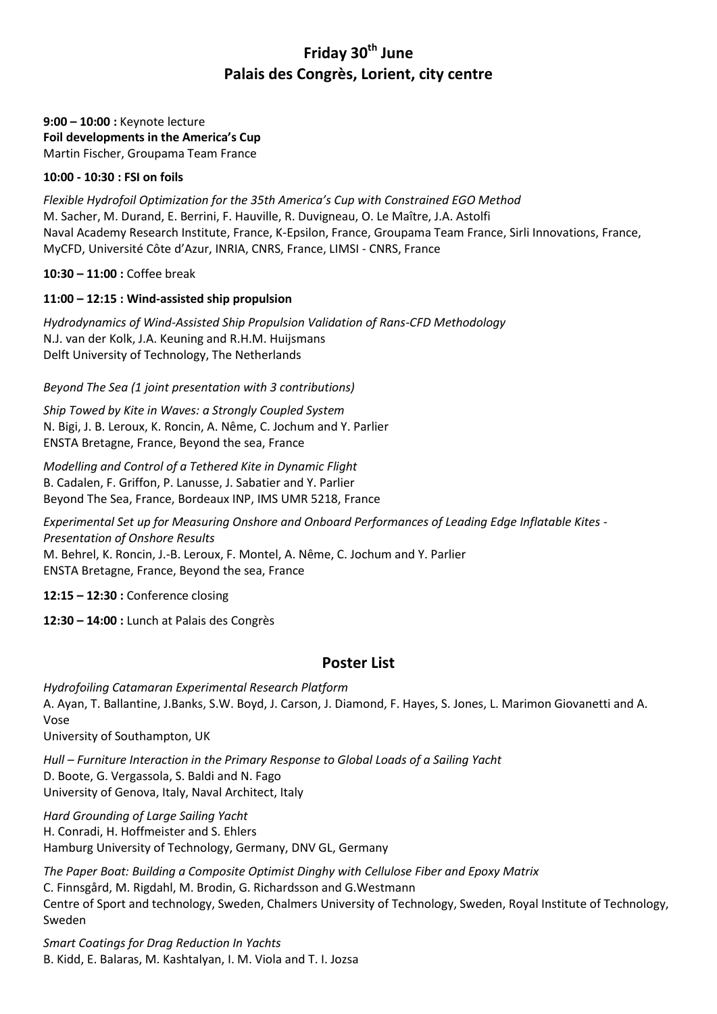### **Friday 30th June Palais des Congrès, Lorient, city centre**

#### **9:00 – 10:00 :** Keynote lecture **Foil developments in the America's Cup** Martin Fischer, Groupama Team France

#### **10:00 - 10:30 : FSI on foils**

*Flexible Hydrofoil Optimization for the 35th America's Cup with Constrained EGO Method* M. Sacher, M. Durand, E. Berrini, F. Hauville, R. Duvigneau, O. Le Maître, J.A. Astolfi Naval Academy Research Institute, France, K-Epsilon, France, Groupama Team France, Sirli Innovations, France, MyCFD, Université Côte d'Azur, INRIA, CNRS, France, LIMSI - CNRS, France

**10:30 – 11:00 :** Coffee break

#### **11:00 – 12:15 : Wind-assisted ship propulsion**

*Hydrodynamics of Wind-Assisted Ship Propulsion Validation of Rans-CFD Methodology* N.J. van der Kolk, J.A. Keuning and R.H.M. Huijsmans Delft University of Technology, The Netherlands

*Beyond The Sea (1 joint presentation with 3 contributions)*

*Ship Towed by Kite in Waves: a Strongly Coupled System* N. Bigi, J. B. Leroux, K. Roncin, A. Nême, C. Jochum and Y. Parlier ENSTA Bretagne, France, Beyond the sea, France

*Modelling and Control of a Tethered Kite in Dynamic Flight* B. Cadalen, F. Griffon, P. Lanusse, J. Sabatier and Y. Parlier Beyond The Sea, France, Bordeaux INP, IMS UMR 5218, France

*Experimental Set up for Measuring Onshore and Onboard Performances of Leading Edge Inflatable Kites - Presentation of Onshore Results* M. Behrel, K. Roncin, J.-B. Leroux, F. Montel, A. Nême, C. Jochum and Y. Parlier ENSTA Bretagne, France, Beyond the sea, France

**12:15 – 12:30 :** Conference closing

**12:30 – 14:00 :** Lunch at Palais des Congrès

#### **Poster List**

*Hydrofoiling Catamaran Experimental Research Platform*  A. Ayan, T. Ballantine, J.Banks, S.W. Boyd, J. Carson, J. Diamond, F. Hayes, S. Jones, L. Marimon Giovanetti and A. Vose

University of Southampton, UK

*Hull – Furniture Interaction in the Primary Response to Global Loads of a Sailing Yacht*  D. Boote, G. Vergassola, S. Baldi and N. Fago University of Genova, Italy, Naval Architect, Italy

*Hard Grounding of Large Sailing Yacht*  H. Conradi, H. Hoffmeister and S. Ehlers Hamburg University of Technology, Germany, DNV GL, Germany

*The Paper Boat: Building a Composite Optimist Dinghy with Cellulose Fiber and Epoxy Matrix* C. Finnsgård, M. Rigdahl, M. Brodin, G. Richardsson and G.Westmann Centre of Sport and technology, Sweden, Chalmers University of Technology, Sweden, Royal Institute of Technology, Sweden

*Smart Coatings for Drag Reduction In Yachts* B. Kidd, E. Balaras, M. Kashtalyan, I. M. Viola and T. I. Jozsa